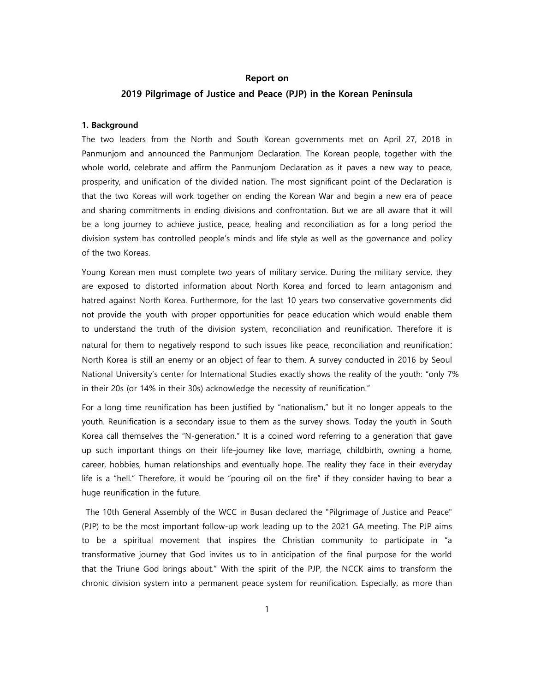### Report on

### 2019 Pilgrimage of Justice and Peace (PJP) in the Korean Peninsula

#### 1. Background

The two leaders from the North and South Korean governments met on April 27, 2018 in Panmunjom and announced the Panmunjom Declaration. The Korean people, together with the whole world, celebrate and affirm the Panmunjom Declaration as it paves a new way to peace, prosperity, and unification of the divided nation. The most significant point of the Declaration is that the two Koreas will work together on ending the Korean War and begin a new era of peace and sharing commitments in ending divisions and confrontation. But we are all aware that it will be a long journey to achieve justice, peace, healing and reconciliation as for a long period the division system has controlled people's minds and life style as well as the governance and policy of the two Koreas.

Young Korean men must complete two years of military service. During the military service, they are exposed to distorted information about North Korea and forced to learn antagonism and hatred against North Korea. Furthermore, for the last 10 years two conservative governments did not provide the youth with proper opportunities for peace education which would enable them to understand the truth of the division system, reconciliation and reunification. Therefore it is natural for them to negatively respond to such issues like peace, reconciliation and reunification: North Korea is still an enemy or an object of fear to them. A survey conducted in 2016 by Seoul National University's center for International Studies exactly shows the reality of the youth: "only 7% in their 20s (or 14% in their 30s) acknowledge the necessity of reunification."

For a long time reunification has been justified by "nationalism," but it no longer appeals to the youth. Reunification is a secondary issue to them as the survey shows. Today the youth in South Korea call themselves the "N-generation." It is a coined word referring to a generation that gave up such important things on their life-journey like love, marriage, childbirth, owning a home, career, hobbies, human relationships and eventually hope. The reality they face in their everyday life is a "hell." Therefore, it would be "pouring oil on the fire" if they consider having to bear a huge reunification in the future.

The 10th General Assembly of the WCC in Busan declared the "Pilgrimage of Justice and Peace" (PJP) to be the most important follow-up work leading up to the 2021 GA meeting. The PJP aims to be a spiritual movement that inspires the Christian community to participate in "a transformative journey that God invites us to in anticipation of the final purpose for the world that the Triune God brings about." With the spirit of the PJP, the NCCK aims to transform the chronic division system into a permanent peace system for reunification. Especially, as more than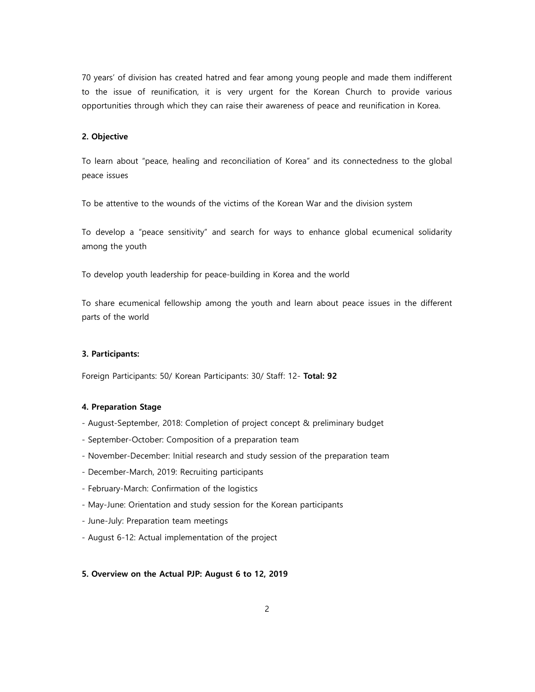70 years' of division has created hatred and fear among young people and made them indifferent to the issue of reunification, it is very urgent for the Korean Church to provide various opportunities through which they can raise their awareness of peace and reunification in Korea.

### 2. Objective

To learn about "peace, healing and reconciliation of Korea" and its connectedness to the global peace issues

To be attentive to the wounds of the victims of the Korean War and the division system

To develop a "peace sensitivity" and search for ways to enhance global ecumenical solidarity among the youth

To develop youth leadership for peace-building in Korea and the world

To share ecumenical fellowship among the youth and learn about peace issues in the different parts of the world

#### 3. Participants:

Foreign Participants: 50/ Korean Participants: 30/ Staff: 12- Total: 92

### 4. Preparation Stage

- August-September, 2018: Completion of project concept & preliminary budget
- September-October: Composition of a preparation team
- November-December: Initial research and study session of the preparation team
- December-March, 2019: Recruiting participants
- February-March: Confirmation of the logistics
- May-June: Orientation and study session for the Korean participants
- June-July: Preparation team meetings
- August 6-12: Actual implementation of the project

#### 5. Overview on the Actual PJP: August 6 to 12, 2019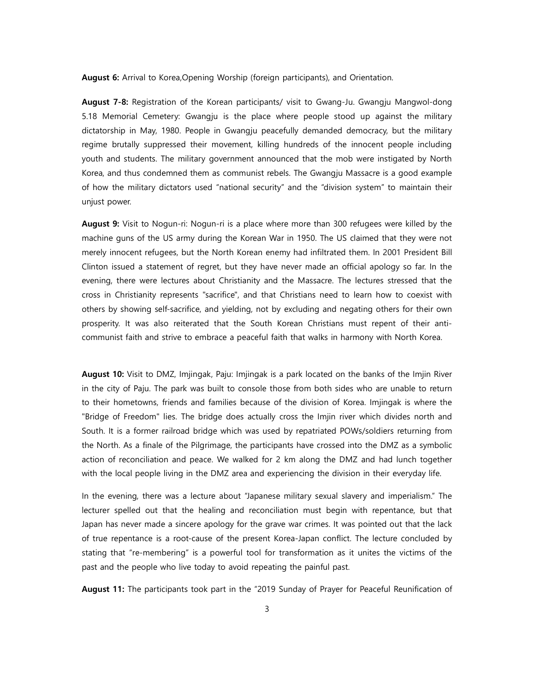August 6: Arrival to Korea, Opening Worship (foreign participants), and Orientation.

August 7-8: Registration of the Korean participants/ visit to Gwang-Ju. Gwangju Mangwol-dong 5.18 Memorial Cemetery: Gwangju is the place where people stood up against the military dictatorship in May, 1980. People in Gwangju peacefully demanded democracy, but the military regime brutally suppressed their movement, killing hundreds of the innocent people including youth and students. The military government announced that the mob were instigated by North Korea, and thus condemned them as communist rebels. The Gwangju Massacre is a good example of how the military dictators used "national security" and the "division system" to maintain their unjust power.

**August 9:** Visit to Nogun-ri: Nogun-ri is a place where more than 300 refugees were killed by the machine guns of the US army during the Korean War in 1950. The US claimed that they were not merely innocent refugees, but the North Korean enemy had infiltrated them. In 2001 President Bill Clinton issued a statement of regret, but they have never made an official apology so far. In the evening, there were lectures about Christianity and the Massacre. The lectures stressed that the cross in Christianity represents "sacrifice", and that Christians need to learn how to coexist with others by showing self-sacrifice, and yielding, not by excluding and negating others for their own prosperity. It was also reiterated that the South Korean Christians must repent of their anticommunist faith and strive to embrace a peaceful faith that walks in harmony with North Korea.

August 10: Visit to DMZ, Imjingak, Paju: Imjingak is a park located on the banks of the Imjin River in the city of Paju. The park was built to console those from both sides who are unable to return to their hometowns, friends and families because of the division of Korea. Imjingak is where the "Bridge of Freedom" lies. The bridge does actually cross the Imjin river which divides north and South. It is a former railroad bridge which was used by repatriated POWs/soldiers returning from the North. As a finale of the Pilgrimage, the participants have crossed into the DMZ as a symbolic action of reconciliation and peace. We walked for 2 km along the DMZ and had lunch together with the local people living in the DMZ area and experiencing the division in their everyday life.

In the evening, there was a lecture about "Japanese military sexual slavery and imperialism." The lecturer spelled out that the healing and reconciliation must begin with repentance, but that Japan has never made a sincere apology for the grave war crimes. It was pointed out that the lack of true repentance is a root-cause of the present Korea-Japan conflict. The lecture concluded by stating that "re-membering" is a powerful tool for transformation as it unites the victims of the past and the people who live today to avoid repeating the painful past.

August 11: The participants took part in the "2019 Sunday of Prayer for Peaceful Reunification of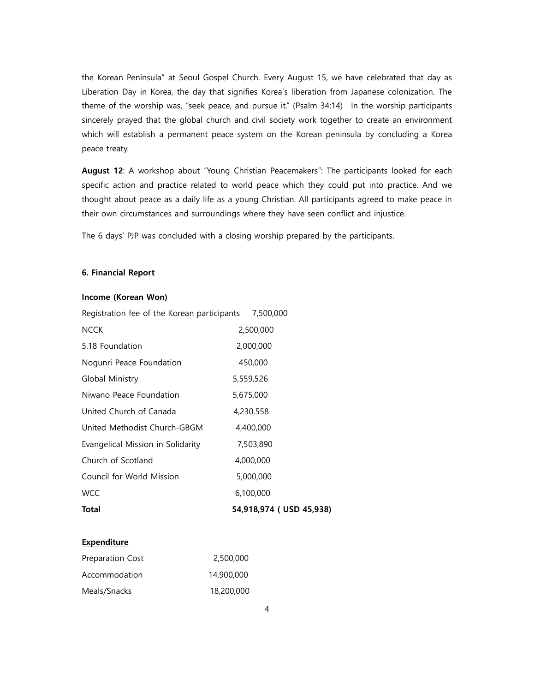the Korean Peninsula" at Seoul Gospel Church. Every August 15, we have celebrated that day as Liberation Day in Korea, the day that signifies Korea's liberation from Japanese colonization. The theme of the worship was, "seek peace, and pursue it." (Psalm 34:14) In the worship participants sincerely prayed that the global church and civil society work together to create an environment which will establish a permanent peace system on the Korean peninsula by concluding a Korea peace treaty.

August 12: A workshop about "Young Christian Peacemakers": The participants looked for each specific action and practice related to world peace which they could put into practice. And we thought about peace as a daily life as a young Christian. All participants agreed to make peace in their own circumstances and surroundings where they have seen conflict and injustice.

The 6 days' PJP was concluded with a closing worship prepared by the participants.

## 6. Financial Report

## Income (Korean Won)

| Registration fee of the Korean participants | 7,500,000               |
|---------------------------------------------|-------------------------|
| NCCK                                        | 2,500,000               |
| 5.18 Foundation                             | 2,000,000               |
| Nogunri Peace Foundation                    | 450,000                 |
| Global Ministry                             | 5,559,526               |
| Niwano Peace Foundation                     | 5,675,000               |
| United Church of Canada                     | 4,230,558               |
| United Methodist Church-GBGM                | 4,400,000               |
| Evangelical Mission in Solidarity           | 7,503,890               |
| Church of Scotland                          | 4,000,000               |
| Council for World Mission                   | 5,000,000               |
| <b>WCC</b>                                  | 6,100,000               |
| Total                                       | 54,918,974 (USD 45,938) |
|                                             |                         |

# **Expenditure**

| Preparation Cost | 2,500,000  |
|------------------|------------|
| Accommodation    | 14,900,000 |
| Meals/Snacks     | 18,200,000 |